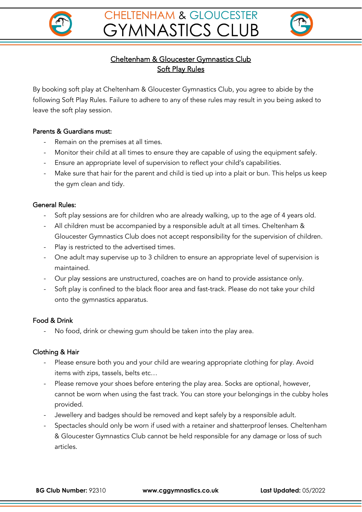



# Cheltenham & Gloucester Gymnastics Club Soft Play Rules

By booking soft play at Cheltenham & Gloucester Gymnastics Club, you agree to abide by the following Soft Play Rules. Failure to adhere to any of these rules may result in you being asked to leave the soft play session.

### Parents & Guardians must:

- Remain on the premises at all times.
- Monitor their child at all times to ensure they are capable of using the equipment safely.
- Ensure an appropriate level of supervision to reflect your child's capabilities.
- Make sure that hair for the parent and child is tied up into a plait or bun. This helps us keep the gym clean and tidy.

### General Rules:

- Soft play sessions are for children who are already walking, up to the age of 4 years old.
- All children must be accompanied by a responsible adult at all times. Cheltenham & Gloucester Gymnastics Club does not accept responsibility for the supervision of children.
- Play is restricted to the advertised times.
- One adult may supervise up to 3 children to ensure an appropriate level of supervision is maintained.
- Our play sessions are unstructured, coaches are on hand to provide assistance only.
- Soft play is confined to the black floor area and fast-track. Please do not take your child onto the gymnastics apparatus.

## Food & Drink

No food, drink or chewing gum should be taken into the play area.

## Clothing & Hair

- Please ensure both you and your child are wearing appropriate clothing for play. Avoid items with zips, tassels, belts etc…
- Please remove your shoes before entering the play area. Socks are optional, however, cannot be worn when using the fast track. You can store your belongings in the cubby holes provided.
- Jewellery and badges should be removed and kept safely by a responsible adult.
- Spectacles should only be worn if used with a retainer and shatterproof lenses. Cheltenham & Gloucester Gymnastics Club cannot be held responsible for any damage or loss of such articles.

**BG Club Number:** 92310 **www.cggymnastics.co.uk Last Updated:** 05/2022